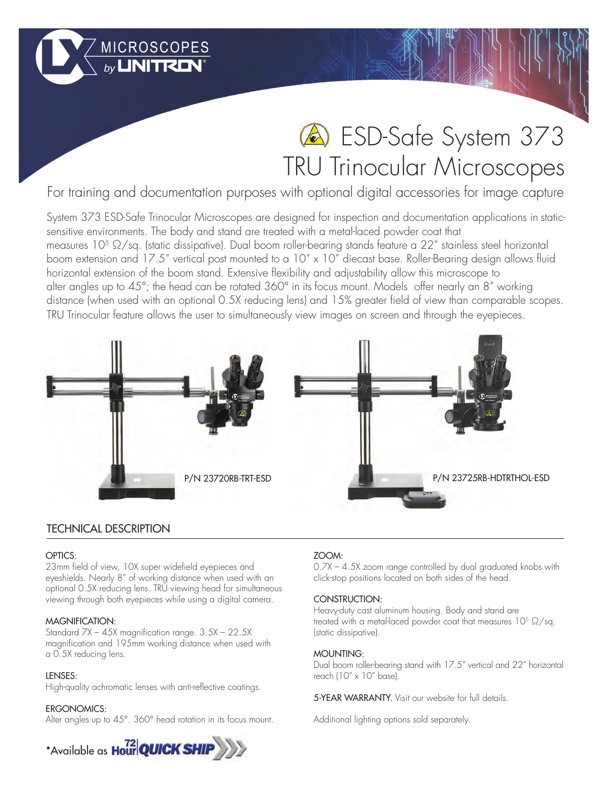# ESD-Safe System 373 TRU Trinocular Microscopes

For training and documentation purposes with optional digital accessories for image capture

System 373 ESD-Safe Trinocular Microscopes are designed for inspection and documentation applications in staticsensitive environments. The body and stand are treated with a metal-laced powder coat that measures 10<sup>5</sup> Ω/sq. (static dissipative). Dual boom roller-bearing stands feature a 22″ stainless steel horizontal boom extension and 17.5" vertical post mounted to a 10" x 10" diecast base. Roller-Bearing design allows fluid horizontal extension of the boom stand. Extensive flexibility and adjustability allow this microscope to alter angles up to 45°; the head can be rotated 360° in its focus mount. Models offer nearly an 8" working distance (when used with an optional 0.5X reducing lens) and 15% greater field of view than comparable scopes. TRU Trinocular feature allows the user to simultaneously view images on screen and through the eyepieces.



# TECHNICAL DESCRIPTION

# OPTICS:

23mm field of view, 10X super widefield eyepieces and eyeshields. Nearly 8" of working distance when used with an optional 0.5X reducing lens. TRU viewing head for simultaneous viewing through both eyepieces while using a digital camera.

MICROSCOPES

# MAGNIFICATION:

Standard 7X – 45X magnification range. 3.5X – 22.5X magnification and 195mm working distance when used with a 0.5X reducing lens.

# LENSES:

High-quality achromatic lenses with anti-reflective coatings.

# ERGONOMICS:

Alter angles up to 45°. 360° head rotation in its focus mount.



# ZOOM:

0.7X – 4.5X zoom range controlled by dual graduated knobs with click-stop positions located on both sides of the head.

# CONSTRUCTION:

Heavy-duty cast aluminum housing. Body and stand are treated with a metal-laced powder coat that measures  $10^5 \Omega/sq$ . (static dissipative).

# MOUNTING:

Dual boom roller-bearing stand with 17.5" vertical and 22" horizontal reach (10" x 10" base).

5-YEAR WARRANTY. Visit our website for full details.

Additional lighting options sold separately.